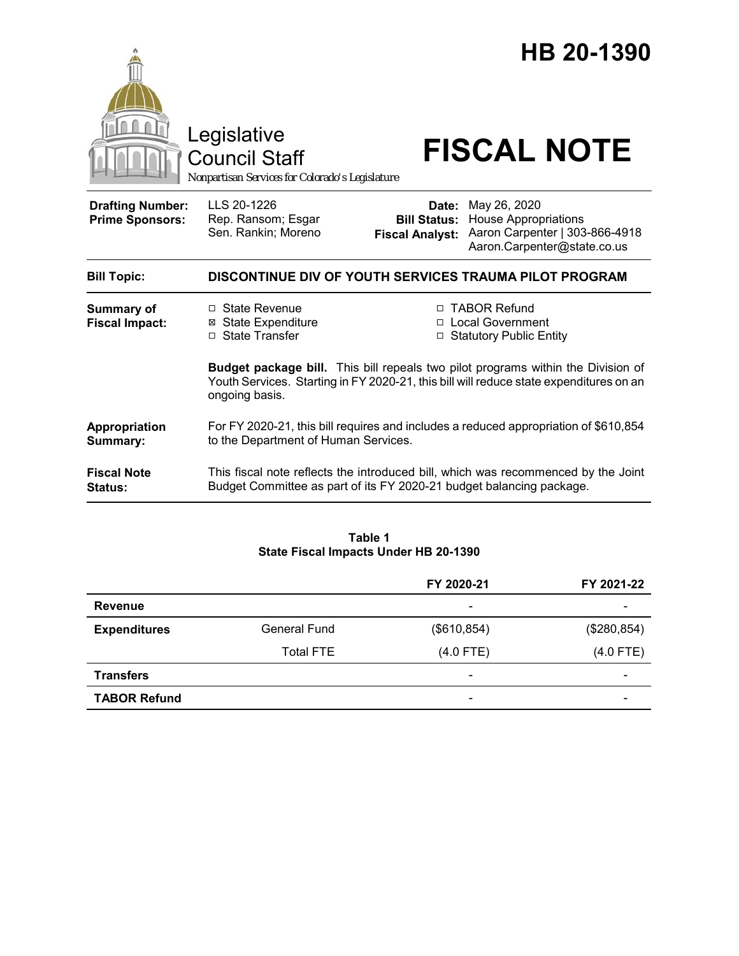

### **Table 1 State Fiscal Impacts Under HB 20-1390**

|                     |                     | FY 2020-21                   | FY 2021-22               |
|---------------------|---------------------|------------------------------|--------------------------|
| <b>Revenue</b>      |                     | $\overline{\phantom{0}}$     |                          |
| <b>Expenditures</b> | <b>General Fund</b> | (\$610, 854)                 | (\$280,854)              |
|                     | <b>Total FTE</b>    | $(4.0$ FTE)                  | $(4.0$ FTE)              |
| <b>Transfers</b>    |                     | $\qquad \qquad \blacksquare$ | $\overline{\phantom{0}}$ |
| <b>TABOR Refund</b> |                     | $\overline{\phantom{0}}$     |                          |